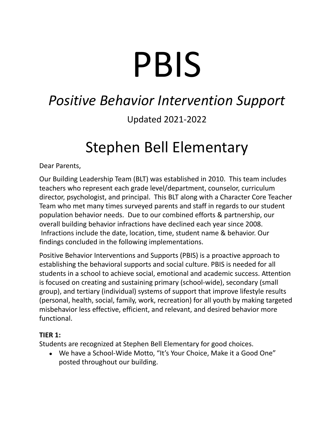# PBIS

## *Positive Behavior Intervention Support*

### Updated 2021-2022

## Stephen Bell Elementary

Dear Parents,

Our Building Leadership Team (BLT) was established in 2010. This team includes teachers who represent each grade level/department, counselor, curriculum director, psychologist, and principal. This BLT along with a Character Core Teacher Team who met many times surveyed parents and staff in regards to our student population behavior needs. Due to our combined efforts & partnership, our overall building behavior infractions have declined each year since 2008. Infractions include the date, location, time, student name & behavior. Our findings concluded in the following implementations.

Positive Behavior Interventions and Supports (PBIS) is a proactive approach to establishing the behavioral supports and social culture. PBIS is needed for all students in a school to achieve social, emotional and academic success. Attention is focused on creating and sustaining primary (school-wide), secondary (small group), and tertiary (individual) systems of support that improve lifestyle results (personal, health, social, family, work, recreation) for all youth by making targeted misbehavior less effective, efficient, and relevant, and desired behavior more functional.

#### **TIER 1:**

Students are recognized at Stephen Bell Elementary for good choices.

• We have a School-Wide Motto, "It's Your Choice, Make it a Good One" posted throughout our building.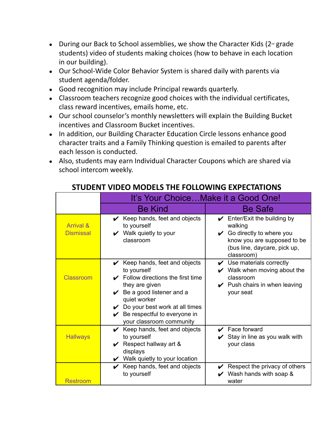- During our Back to School assemblies, we show the Character Kids ( $2^{\omega}$  grade students) video of students making choices (how to behave in each location in our building).
- Our School-Wide Color Behavior System is shared daily with parents via student agenda/folder.
- Good recognition may include Principal rewards quarterly.
- Classroom teachers recognize good choices with the individual certificates, class reward incentives, emails home, etc.
- Our school counselor's monthly newsletters will explain the Building Bucket incentives and Classroom Bucket incentives.
- In addition, our Building Character Education Circle lessons enhance good character traits and a Family Thinking question is emailed to parents after each lesson is conducted.
- Also, students may earn Individual Character Coupons which are shared via school intercom weekly.

|                                          | It's Your Choice Make it a Good One!                                                                                                                                                                                                                                                             |                                                                                                                                                                                                    |  |  |
|------------------------------------------|--------------------------------------------------------------------------------------------------------------------------------------------------------------------------------------------------------------------------------------------------------------------------------------------------|----------------------------------------------------------------------------------------------------------------------------------------------------------------------------------------------------|--|--|
|                                          | <b>Be Kind</b>                                                                                                                                                                                                                                                                                   | <b>Be Safe</b>                                                                                                                                                                                     |  |  |
| <b>Arrival &amp;</b><br><b>Dismissal</b> | $\mathcal V$ Keep hands, feet and objects<br>to yourself<br>$\boldsymbol{\mathcal{V}}$ Walk quietly to your<br>classroom                                                                                                                                                                         | Enter/Exit the building by<br>$\boldsymbol{\nu}$<br>walking<br>Go directly to where you<br>$\boldsymbol{\mathcal{U}}$<br>know you are supposed to be<br>(bus line, daycare, pick up,<br>classroom) |  |  |
| <b>Classroom</b>                         | $\mathcal V$ Keep hands, feet and objects<br>to yourself<br>$\checkmark$ Follow directions the first time<br>they are given<br>$\vee$ Be a good listener and a<br>quiet worker<br>$\vee$ Do your best work at all times<br>$\mathcal V$ Be respectful to everyone in<br>your classroom community | $\mathcal V$ Use materials correctly<br>$\mathcal V$ Walk when moving about the<br>classroom<br>$\mathcal V$ Push chairs in when leaving<br>your seat                                              |  |  |
| <b>Hallways</b>                          | $\mathcal V$ Keep hands, feet and objects<br>to yourself<br>Respect hallway art &<br>V<br>displays<br>$\mathcal V$ Walk quietly to your location                                                                                                                                                 | $\mathbf y$ Face forward<br>Stay in line as you walk with<br>your class                                                                                                                            |  |  |
| Restroom                                 | $\mathcal V$ Keep hands, feet and objects<br>to yourself                                                                                                                                                                                                                                         | Respect the privacy of others<br>Wash hands with soap &<br>water                                                                                                                                   |  |  |

#### **STUDENT VIDEO MODELS THE FOLLOWING EXPECTATIONS**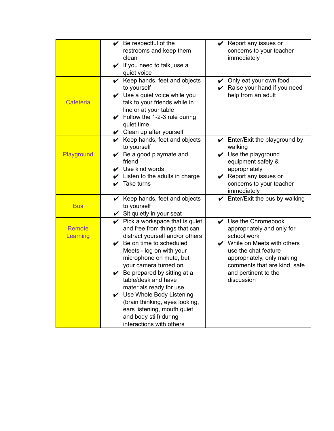|                           | $\vee$ Be respectful of the<br>restrooms and keep them<br>clean<br>$\checkmark$ If you need to talk, use a<br>quiet voice                                                                                                                                                                                                                                                                                                                                                    | $\vee$ Report any issues or<br>concerns to your teacher<br>immediately                                                                                                                                                                                     |
|---------------------------|------------------------------------------------------------------------------------------------------------------------------------------------------------------------------------------------------------------------------------------------------------------------------------------------------------------------------------------------------------------------------------------------------------------------------------------------------------------------------|------------------------------------------------------------------------------------------------------------------------------------------------------------------------------------------------------------------------------------------------------------|
| Cafeteria                 | $\mathcal V$ Keep hands, feet and objects<br>to yourself<br>$\vee$ Use a quiet voice while you<br>talk to your friends while in<br>line or at your table<br>$\checkmark$ Follow the 1-2-3 rule during<br>quiet time<br>$\vee$ Clean up after yourself                                                                                                                                                                                                                        | $\vee$ Only eat your own food<br>Raise your hand if you need<br>V<br>help from an adult                                                                                                                                                                    |
| Playground                | $\mathcal V$ Keep hands, feet and objects<br>to yourself<br>$\vee$ Be a good playmate and<br>friend<br>$\mathcal V$ Use kind words<br>$\mathcal V$ Listen to the adults in charge<br>Take turns<br>✔                                                                                                                                                                                                                                                                         | $\mathcal V$ Enter/Exit the playground by<br>walking<br>$\vee$ Use the playground<br>equipment safely &<br>appropriately<br>$\vee$ Report any issues or<br>concerns to your teacher<br>immediately                                                         |
| <b>Bus</b>                | $\mathcal V$ Keep hands, feet and objects<br>to yourself<br>$\checkmark$ Sit quietly in your seat                                                                                                                                                                                                                                                                                                                                                                            | $\checkmark$ Enter/Exit the bus by walking                                                                                                                                                                                                                 |
| <b>Remote</b><br>Learning | $\vee$ Pick a workspace that is quiet<br>and free from things that can<br>distract yourself and/or others<br>$\swarrow$ Be on time to scheduled<br>Meets - log on with your<br>microphone on mute, but<br>your camera turned on<br>$\vee$ Be prepared by sitting at a<br>table/desk and have<br>materials ready for use<br>✔ Use Whole Body Listening<br>(brain thinking, eyes looking,<br>ears listening, mouth quiet<br>and body still) during<br>interactions with others | $\vee$ Use the Chromebook<br>appropriately and only for<br>school work<br>$\boldsymbol{\checkmark}$ While on Meets with others<br>use the chat feature<br>appropriately, only making<br>comments that are kind, safe<br>and pertinent to the<br>discussion |